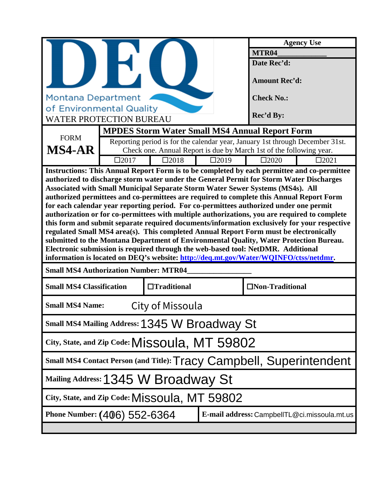|                                                                                                                                                                                                                                                                                                                                                                                                                                                                                                                                                                                                                                                                                                                                                                                                                                                                                                                                                                                                                                |             |                    | <b>Agency Use</b> |                                                                               |                                              |
|--------------------------------------------------------------------------------------------------------------------------------------------------------------------------------------------------------------------------------------------------------------------------------------------------------------------------------------------------------------------------------------------------------------------------------------------------------------------------------------------------------------------------------------------------------------------------------------------------------------------------------------------------------------------------------------------------------------------------------------------------------------------------------------------------------------------------------------------------------------------------------------------------------------------------------------------------------------------------------------------------------------------------------|-------------|--------------------|-------------------|-------------------------------------------------------------------------------|----------------------------------------------|
|                                                                                                                                                                                                                                                                                                                                                                                                                                                                                                                                                                                                                                                                                                                                                                                                                                                                                                                                                                                                                                |             | MTR <sub>04</sub>  |                   |                                                                               |                                              |
|                                                                                                                                                                                                                                                                                                                                                                                                                                                                                                                                                                                                                                                                                                                                                                                                                                                                                                                                                                                                                                |             |                    | Date Rec'd:       |                                                                               |                                              |
|                                                                                                                                                                                                                                                                                                                                                                                                                                                                                                                                                                                                                                                                                                                                                                                                                                                                                                                                                                                                                                |             |                    |                   | <b>Amount Rec'd:</b>                                                          |                                              |
| <b>Montana Department</b>                                                                                                                                                                                                                                                                                                                                                                                                                                                                                                                                                                                                                                                                                                                                                                                                                                                                                                                                                                                                      |             |                    |                   | <b>Check No.:</b>                                                             |                                              |
| of Environmental Quality                                                                                                                                                                                                                                                                                                                                                                                                                                                                                                                                                                                                                                                                                                                                                                                                                                                                                                                                                                                                       |             |                    |                   |                                                                               |                                              |
| <b>WATER PROTECTION BUREAU</b>                                                                                                                                                                                                                                                                                                                                                                                                                                                                                                                                                                                                                                                                                                                                                                                                                                                                                                                                                                                                 |             |                    |                   | Rec'd By:                                                                     |                                              |
|                                                                                                                                                                                                                                                                                                                                                                                                                                                                                                                                                                                                                                                                                                                                                                                                                                                                                                                                                                                                                                |             |                    |                   | <b>MPDES Storm Water Small MS4 Annual Report Form</b>                         |                                              |
| <b>FORM</b>                                                                                                                                                                                                                                                                                                                                                                                                                                                                                                                                                                                                                                                                                                                                                                                                                                                                                                                                                                                                                    |             |                    |                   | Reporting period is for the calendar year, January 1st through December 31st. |                                              |
| <b>MS4-AR</b>                                                                                                                                                                                                                                                                                                                                                                                                                                                                                                                                                                                                                                                                                                                                                                                                                                                                                                                                                                                                                  |             |                    |                   | Check one. Annual Report is due by March 1st of the following year.           |                                              |
|                                                                                                                                                                                                                                                                                                                                                                                                                                                                                                                                                                                                                                                                                                                                                                                                                                                                                                                                                                                                                                | $\Box 2017$ | $\square$ 2018     | $\Box 2019$       | $\square 2020$                                                                | $\square$ 2021                               |
| Instructions: This Annual Report Form is to be completed by each permittee and co-permittee<br>authorized to discharge storm water under the General Permit for Storm Water Discharges<br>Associated with Small Municipal Separate Storm Water Sewer Systems (MS4s). All<br>authorized permittees and co-permittees are required to complete this Annual Report Form<br>for each calendar year reporting period. For co-permittees authorized under one permit<br>authorization or for co-permittees with multiple authorizations, you are required to complete<br>this form and submit separate required documents/information exclusively for your respective<br>regulated Small MS4 area(s). This completed Annual Report Form must be electronically<br>submitted to the Montana Department of Environmental Quality, Water Protection Bureau.<br>Electronic submission is required through the web-based tool: NetDMR. Additional<br>information is located on DEQ's website: http://deq.mt.gov/Water/WQINFO/ctss/netdmr. |             |                    |                   |                                                                               |                                              |
| <b>Small MS4 Authorization Number: MTR04</b>                                                                                                                                                                                                                                                                                                                                                                                                                                                                                                                                                                                                                                                                                                                                                                                                                                                                                                                                                                                   |             |                    |                   |                                                                               |                                              |
| <b>Small MS4 Classification</b>                                                                                                                                                                                                                                                                                                                                                                                                                                                                                                                                                                                                                                                                                                                                                                                                                                                                                                                                                                                                |             | $\Box$ Traditional |                   | □Non-Traditional                                                              |                                              |
| <b>Small MS4 Name:</b>                                                                                                                                                                                                                                                                                                                                                                                                                                                                                                                                                                                                                                                                                                                                                                                                                                                                                                                                                                                                         |             | City of Missoula   |                   |                                                                               |                                              |
| Small MS4 Mailing Address: 1345 W Broadway St                                                                                                                                                                                                                                                                                                                                                                                                                                                                                                                                                                                                                                                                                                                                                                                                                                                                                                                                                                                  |             |                    |                   |                                                                               |                                              |
| City, State, and Zip Code: MISSOUla, MT 59802                                                                                                                                                                                                                                                                                                                                                                                                                                                                                                                                                                                                                                                                                                                                                                                                                                                                                                                                                                                  |             |                    |                   |                                                                               |                                              |
| Small MS4 Contact Person (and Title): Tracy Campbell, Superintendent                                                                                                                                                                                                                                                                                                                                                                                                                                                                                                                                                                                                                                                                                                                                                                                                                                                                                                                                                           |             |                    |                   |                                                                               |                                              |
| Mailing Address: 1345 W Broadway St                                                                                                                                                                                                                                                                                                                                                                                                                                                                                                                                                                                                                                                                                                                                                                                                                                                                                                                                                                                            |             |                    |                   |                                                                               |                                              |
| City, State, and Zip Code: MISSOUla, MT 59802                                                                                                                                                                                                                                                                                                                                                                                                                                                                                                                                                                                                                                                                                                                                                                                                                                                                                                                                                                                  |             |                    |                   |                                                                               |                                              |
| Phone Number: (406) 552-6364                                                                                                                                                                                                                                                                                                                                                                                                                                                                                                                                                                                                                                                                                                                                                                                                                                                                                                                                                                                                   |             |                    |                   |                                                                               | E-mail address: CampbellTL@ci.missoula.mt.us |
|                                                                                                                                                                                                                                                                                                                                                                                                                                                                                                                                                                                                                                                                                                                                                                                                                                                                                                                                                                                                                                |             |                    |                   |                                                                               |                                              |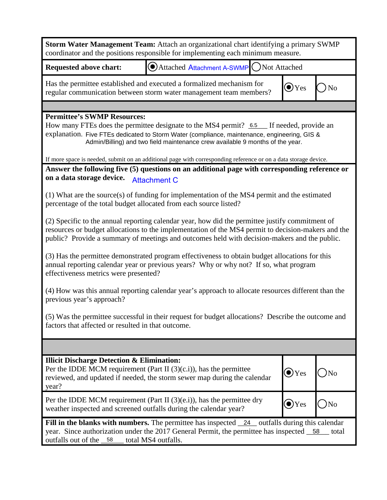| Storm Water Management Team: Attach an organizational chart identifying a primary SWMP<br>coordinator and the positions responsible for implementing each minimum measure.                                                                                                                            |                                                                               |  |                |                |
|-------------------------------------------------------------------------------------------------------------------------------------------------------------------------------------------------------------------------------------------------------------------------------------------------------|-------------------------------------------------------------------------------|--|----------------|----------------|
| <b>Requested above chart:</b>                                                                                                                                                                                                                                                                         | Attached Attachment A-SWMP ONot Attached                                      |  |                |                |
| Has the permittee established and executed a formalized mechanism for<br>regular communication between storm water management team members?                                                                                                                                                           |                                                                               |  | $\bigodot$ Yes | N <sub>0</sub> |
|                                                                                                                                                                                                                                                                                                       |                                                                               |  |                |                |
| <b>Permittee's SWMP Resources:</b><br>How many FTEs does the permittee designate to the MS4 permit? 6.5 If needed, provide an<br>explanation. Five FTEs dedicated to Storm Water (compliance, maintenance, engineering, GIS &                                                                         | Admin/Billing) and two field maintenance crew available 9 months of the year. |  |                |                |
| If more space is needed, submit on an additional page with corresponding reference or on a data storage device.<br>Answer the following five (5) questions on an additional page with corresponding reference or                                                                                      |                                                                               |  |                |                |
| on a data storage device.                                                                                                                                                                                                                                                                             | <b>Attachment C</b>                                                           |  |                |                |
| $(1)$ What are the source $(s)$ of funding for implementation of the MS4 permit and the estimated<br>percentage of the total budget allocated from each source listed?                                                                                                                                |                                                                               |  |                |                |
| (2) Specific to the annual reporting calendar year, how did the permittee justify commitment of<br>resources or budget allocations to the implementation of the MS4 permit to decision-makers and the<br>public? Provide a summary of meetings and outcomes held with decision-makers and the public. |                                                                               |  |                |                |
| (3) Has the permittee demonstrated program effectiveness to obtain budget allocations for this<br>annual reporting calendar year or previous years? Why or why not? If so, what program<br>effectiveness metrics were presented?                                                                      |                                                                               |  |                |                |
| (4) How was this annual reporting calendar year's approach to allocate resources different than the<br>previous year's approach?                                                                                                                                                                      |                                                                               |  |                |                |
| (5) Was the permittee successful in their request for budget allocations? Describe the outcome and<br>factors that affected or resulted in that outcome.                                                                                                                                              |                                                                               |  |                |                |
|                                                                                                                                                                                                                                                                                                       |                                                                               |  |                |                |
| <b>Illicit Discharge Detection &amp; Elimination:</b><br>Per the IDDE MCM requirement (Part II $(3)(c.i)$ ), has the permittee<br>reviewed, and updated if needed, the storm sewer map during the calendar<br>year?                                                                                   |                                                                               |  | $\bigodot$ Yes | No             |
| Per the IDDE MCM requirement (Part II $(3)(e.i)$ ), has the permittee dry<br>weather inspected and screened outfalls during the calendar year?                                                                                                                                                        |                                                                               |  | $\odot$ Yes    | $\big)$ No     |
| Fill in the blanks with numbers. The permittee has inspected $\frac{24}{124}$ outfalls during this calendar<br>year. Since authorization under the 2017 General Permit, the permittee has inspected 58 total<br>outfalls out of the 58                                                                | total MS4 outfalls.                                                           |  |                |                |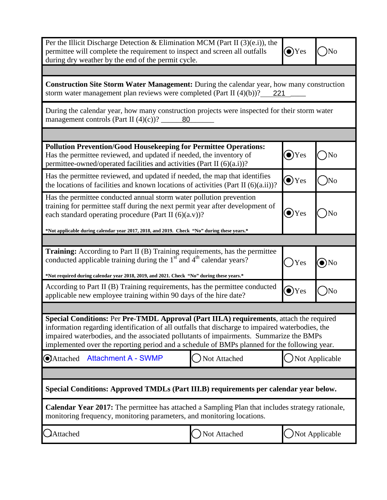| Per the Illicit Discharge Detection & Elimination MCM (Part II $(3)(e.i)$ ), the<br>permittee will complete the requirement to inspect and screen all outfalls<br>during dry weather by the end of the permit cycle.                                                                                                                                                                   |              | $\bullet$ )Yes |                |  |
|----------------------------------------------------------------------------------------------------------------------------------------------------------------------------------------------------------------------------------------------------------------------------------------------------------------------------------------------------------------------------------------|--------------|----------------|----------------|--|
|                                                                                                                                                                                                                                                                                                                                                                                        |              |                |                |  |
| <b>Construction Site Storm Water Management:</b> During the calendar year, how many construction<br>storm water management plan reviews were completed (Part II $(4)(b)$ )? 221                                                                                                                                                                                                        |              |                |                |  |
| During the calendar year, how many construction projects were inspected for their storm water                                                                                                                                                                                                                                                                                          |              |                |                |  |
|                                                                                                                                                                                                                                                                                                                                                                                        |              |                |                |  |
| <b>Pollution Prevention/Good Housekeeping for Permittee Operations:</b><br>Has the permittee reviewed, and updated if needed, the inventory of<br>permittee-owned/operated facilities and activities (Part II (6)(a.i))?                                                                                                                                                               |              | $\bullet$ Yes  | No             |  |
| Has the permittee reviewed, and updated if needed, the map that identifies<br>the locations of facilities and known locations of activities (Part II $(6)(a.ii)$ )?                                                                                                                                                                                                                    |              | $\odot$ Yes    | )No            |  |
| Has the permittee conducted annual storm water pollution prevention<br>training for permittee staff during the next permit year after development of<br>$\bullet$ )Yes<br>No<br>each standard operating procedure (Part II (6)(a.v))?                                                                                                                                                  |              |                |                |  |
| *Not applicable during calendar year 2017, 2018, and 2019. Check "No" during these years.*                                                                                                                                                                                                                                                                                             |              |                |                |  |
| <b>Training:</b> According to Part II (B) Training requirements, has the permittee<br>conducted applicable training during the $1st$ and $4th$ calendar years?<br>)Yes<br>$\odot$ No<br>*Not required during calendar year 2018, 2019, and 2021. Check "No" during these years.*                                                                                                       |              |                |                |  |
| According to Part II (B) Training requirements, has the permittee conducted<br>$\bullet$ )Yes<br>)No<br>applicable new employee training within 90 days of the hire date?                                                                                                                                                                                                              |              |                |                |  |
|                                                                                                                                                                                                                                                                                                                                                                                        |              |                |                |  |
| Special Conditions: Per Pre-TMDL Approval (Part III.A) requirements, attach the required<br>information regarding identification of all outfalls that discharge to impaired waterbodies, the<br>impaired waterbodies, and the associated pollutants of impairments. Summarize the BMPs<br>implemented over the reporting period and a schedule of BMPs planned for the following year. |              |                |                |  |
| <b>Attachment A - SWMP</b><br>Attached                                                                                                                                                                                                                                                                                                                                                 | Not Attached |                | Not Applicable |  |
|                                                                                                                                                                                                                                                                                                                                                                                        |              |                |                |  |
| Special Conditions: Approved TMDLs (Part III.B) requirements per calendar year below.                                                                                                                                                                                                                                                                                                  |              |                |                |  |
| Calendar Year 2017: The permittee has attached a Sampling Plan that includes strategy rationale,<br>monitoring frequency, monitoring parameters, and monitoring locations.                                                                                                                                                                                                             |              |                |                |  |
| Attached                                                                                                                                                                                                                                                                                                                                                                               | Not Attached | Not Applicable |                |  |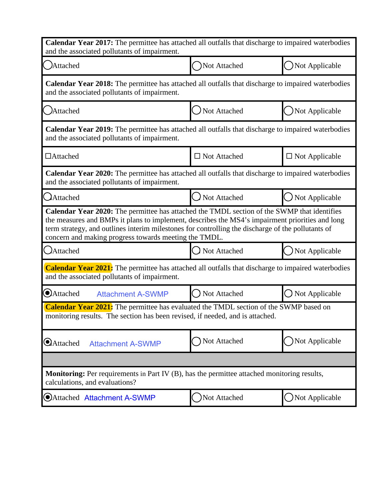| Calendar Year 2017: The permittee has attached all outfalls that discharge to impaired waterbodies<br>and the associated pollutants of impairment.                                                                                                                                                                                                           |                     |                          |  |
|--------------------------------------------------------------------------------------------------------------------------------------------------------------------------------------------------------------------------------------------------------------------------------------------------------------------------------------------------------------|---------------------|--------------------------|--|
| Attached                                                                                                                                                                                                                                                                                                                                                     | Not Attached        | Not Applicable           |  |
| <b>Calendar Year 2018:</b> The permittee has attached all outfalls that discharge to impaired waterbodies<br>and the associated pollutants of impairment.                                                                                                                                                                                                    |                     |                          |  |
| ()Attached                                                                                                                                                                                                                                                                                                                                                   | () Not Attached     | Not Applicable           |  |
| <b>Calendar Year 2019:</b> The permittee has attached all outfalls that discharge to impaired waterbodies<br>and the associated pollutants of impairment.                                                                                                                                                                                                    |                     |                          |  |
| □Attached                                                                                                                                                                                                                                                                                                                                                    | $\Box$ Not Attached | $\square$ Not Applicable |  |
| Calendar Year 2020: The permittee has attached all outfalls that discharge to impaired waterbodies<br>and the associated pollutants of impairment.                                                                                                                                                                                                           |                     |                          |  |
| Attached                                                                                                                                                                                                                                                                                                                                                     | Not Attached        | Not Applicable           |  |
| Calendar Year 2020: The permittee has attached the TMDL section of the SWMP that identifies<br>the measures and BMPs it plans to implement, describes the MS4's impairment priorities and long<br>term strategy, and outlines interim milestones for controlling the discharge of the pollutants of<br>concern and making progress towards meeting the TMDL. |                     |                          |  |
| <b>C</b> Attached                                                                                                                                                                                                                                                                                                                                            | ◯ Not Attached      | Not Applicable           |  |
| <b>Calendar Year 2021:</b> The permittee has attached all outfalls that discharge to impaired waterbodies<br>and the associated pollutants of impairment.                                                                                                                                                                                                    |                     |                          |  |
| <b>Attached</b><br><b>Attachment A-SWMP</b>                                                                                                                                                                                                                                                                                                                  | Not Attached        | Not Applicable           |  |
| <b>Calendar Year 2021:</b> The permittee has evaluated the TMDL section of the SWMP based on<br>monitoring results. The section has been revised, if needed, and is attached.                                                                                                                                                                                |                     |                          |  |
| <b>Attached</b><br><b>Attachment A-SWMP</b>                                                                                                                                                                                                                                                                                                                  | Not Attached        | Not Applicable           |  |
|                                                                                                                                                                                                                                                                                                                                                              |                     |                          |  |
| <b>Monitoring:</b> Per requirements in Part IV (B), has the permittee attached monitoring results,<br>calculations, and evaluations?                                                                                                                                                                                                                         |                     |                          |  |
| OAttached Attachment A-SWMP                                                                                                                                                                                                                                                                                                                                  | Not Attached        | $\bigcup$ Not Applicable |  |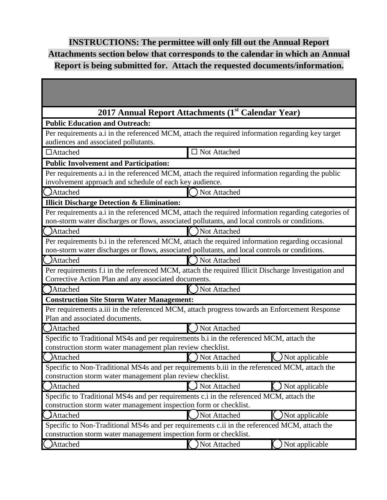## **INSTRUCTIONS: The permittee will only fill out the Annual Report Attachments section below that corresponds to the calendar in which an Annual Report is being submitted for. Attach the requested documents/information.**

| 2017 Annual Report Attachments (1 <sup>st</sup> Calendar Year)                                                                                                    |                        |                  |
|-------------------------------------------------------------------------------------------------------------------------------------------------------------------|------------------------|------------------|
| <b>Public Education and Outreach:</b>                                                                                                                             |                        |                  |
| Per requirements a.i in the referenced MCM, attach the required information regarding key target                                                                  |                        |                  |
| audiences and associated pollutants.                                                                                                                              |                        |                  |
| $\Box$ Attached                                                                                                                                                   | $\square$ Not Attached |                  |
| <b>Public Involvement and Participation:</b>                                                                                                                      |                        |                  |
| Per requirements a.i in the referenced MCM, attach the required information regarding the public                                                                  |                        |                  |
| involvement approach and schedule of each key audience.<br>()Attached                                                                                             | Not Attached           |                  |
| <b>Illicit Discharge Detection &amp; Elimination:</b>                                                                                                             |                        |                  |
| Per requirements a.i in the referenced MCM, attach the required information regarding categories of                                                               |                        |                  |
| non-storm water discharges or flows, associated pollutants, and local controls or conditions.                                                                     |                        |                  |
| Attached                                                                                                                                                          | Not Attached           |                  |
| Per requirements b.i in the referenced MCM, attach the required information regarding occasional                                                                  |                        |                  |
| non-storm water discharges or flows, associated pollutants, and local controls or conditions.                                                                     |                        |                  |
| (Attached                                                                                                                                                         | Not Attached           |                  |
| Per requirements f.i in the referenced MCM, attach the required Illicit Discharge Investigation and<br>Corrective Action Plan and any associated documents.       |                        |                  |
| Attached                                                                                                                                                          | Not Attached           |                  |
| <b>Construction Site Storm Water Management:</b>                                                                                                                  |                        |                  |
| Per requirements a.iii in the referenced MCM, attach progress towards an Enforcement Response<br>Plan and associated documents.                                   |                        |                  |
| ( <i>)</i> Attached                                                                                                                                               | Not Attached           |                  |
| Specific to Traditional MS4s and per requirements b.i in the referenced MCM, attach the<br>construction storm water management plan review checklist.             |                        |                  |
| <b>Attached</b>                                                                                                                                                   | Not Attached           | Not applicable   |
| Specific to Non-Traditional MS4s and per requirements b.iii in the referenced MCM, attach the<br>construction storm water management plan review checklist.       |                        |                  |
| )Attached                                                                                                                                                         | Not Attached           | ) Not applicable |
| Specific to Traditional MS4s and per requirements c.i in the referenced MCM, attach the<br>construction storm water management inspection form or checklist.      |                        |                  |
| Attached                                                                                                                                                          | Not Attached           | Not applicable   |
| Specific to Non-Traditional MS4s and per requirements c.ii in the referenced MCM, attach the<br>construction storm water management inspection form or checklist. |                        |                  |
| Attached                                                                                                                                                          | Not Attached           | Not applicable   |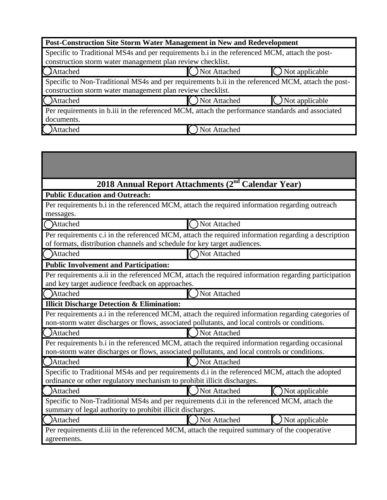| Post-Construction Site Storm Water Management in New and Redevelopment                                                                                           |                |                |  |
|------------------------------------------------------------------------------------------------------------------------------------------------------------------|----------------|----------------|--|
| Specific to Traditional MS4s and per requirements b.i in the referenced MCM, attach the post-<br>construction storm water management plan review checklist.      |                |                |  |
| Attached                                                                                                                                                         | ) Not Attached | Not applicable |  |
| Specific to Non-Traditional MS4s and per requirements b.ii in the referenced MCM, attach the post-<br>construction storm water management plan review checklist. |                |                |  |
| Attached                                                                                                                                                         | Not Attached   | Not applicable |  |
| Per requirements in b.iii in the referenced MCM, attach the performance standards and associated<br>documents.                                                   |                |                |  |
| Attached                                                                                                                                                         | Not Attached   |                |  |

a a s

**The Committee Committee Committee** 

|                                                                                                                                                                            | 2018 Annual Report Attachments (2 <sup>nd</sup> Calendar Year)                                                                                                                                       |  |  |
|----------------------------------------------------------------------------------------------------------------------------------------------------------------------------|------------------------------------------------------------------------------------------------------------------------------------------------------------------------------------------------------|--|--|
| <b>Public Education and Outreach:</b>                                                                                                                                      |                                                                                                                                                                                                      |  |  |
|                                                                                                                                                                            | Per requirements b.i in the referenced MCM, attach the required information regarding outreach                                                                                                       |  |  |
| messages.                                                                                                                                                                  |                                                                                                                                                                                                      |  |  |
| <b>Attached</b>                                                                                                                                                            | Not Attached                                                                                                                                                                                         |  |  |
| of formats, distribution channels and schedule for key target audiences.                                                                                                   | Per requirements c.i in the referenced MCM, attach the required information regarding a description                                                                                                  |  |  |
| Attached                                                                                                                                                                   | Not Attached                                                                                                                                                                                         |  |  |
| <b>Public Involvement and Participation:</b>                                                                                                                               |                                                                                                                                                                                                      |  |  |
|                                                                                                                                                                            | Per requirements a.ii in the referenced MCM, attach the required information regarding participation                                                                                                 |  |  |
| and key target audience feedback on approaches.                                                                                                                            |                                                                                                                                                                                                      |  |  |
| Attached                                                                                                                                                                   | Not Attached                                                                                                                                                                                         |  |  |
| <b>Illicit Discharge Detection &amp; Elimination:</b>                                                                                                                      |                                                                                                                                                                                                      |  |  |
|                                                                                                                                                                            | Per requirements a.i in the referenced MCM, attach the required information regarding categories of<br>non-storm water discharges or flows, associated pollutants, and local controls or conditions. |  |  |
| Attached                                                                                                                                                                   | ) Not Attached                                                                                                                                                                                       |  |  |
|                                                                                                                                                                            | Per requirements b.i in the referenced MCM, attach the required information regarding occasional<br>non-storm water discharges or flows, associated pollutants, and local controls or conditions.    |  |  |
| <b>Attached</b>                                                                                                                                                            | Not Attached                                                                                                                                                                                         |  |  |
| Specific to Traditional MS4s and per requirements d.i in the referenced MCM, attach the adopted<br>ordinance or other regulatory mechanism to prohibit illicit discharges. |                                                                                                                                                                                                      |  |  |
| Attached                                                                                                                                                                   | Not Attached<br>Not applicable                                                                                                                                                                       |  |  |
| summary of legal authority to prohibit illicit discharges.                                                                                                                 | Specific to Non-Traditional MS4s and per requirements d.ii in the referenced MCM, attach the                                                                                                         |  |  |
| Attached                                                                                                                                                                   | Not Attached<br>Not applicable                                                                                                                                                                       |  |  |
| agreements.                                                                                                                                                                | Per requirements d.iii in the referenced MCM, attach the required summary of the cooperative                                                                                                         |  |  |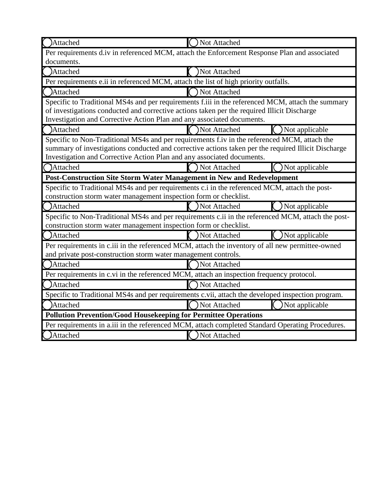| Attached                                                                                           | Not Attached                                                                                        |  |  |  |
|----------------------------------------------------------------------------------------------------|-----------------------------------------------------------------------------------------------------|--|--|--|
| Per requirements d.iv in referenced MCM, attach the Enforcement Response Plan and associated       |                                                                                                     |  |  |  |
| documents.                                                                                         |                                                                                                     |  |  |  |
| Attached                                                                                           | Not Attached                                                                                        |  |  |  |
| Per requirements e.ii in referenced MCM, attach the list of high priority outfalls.                |                                                                                                     |  |  |  |
| <b>Attached</b>                                                                                    | Not Attached                                                                                        |  |  |  |
|                                                                                                    | Specific to Traditional MS4s and per requirements f.iii in the referenced MCM, attach the summary   |  |  |  |
| of investigations conducted and corrective actions taken per the required Illicit Discharge        |                                                                                                     |  |  |  |
| Investigation and Corrective Action Plan and any associated documents.                             |                                                                                                     |  |  |  |
| Attached                                                                                           | Not Attached<br>Not applicable                                                                      |  |  |  |
|                                                                                                    | Specific to Non-Traditional MS4s and per requirements f.iv in the referenced MCM, attach the        |  |  |  |
|                                                                                                    | summary of investigations conducted and corrective actions taken per the required Illicit Discharge |  |  |  |
| Investigation and Corrective Action Plan and any associated documents.                             |                                                                                                     |  |  |  |
| <b>Attached</b>                                                                                    | Not Attached<br>Not applicable                                                                      |  |  |  |
| Post-Construction Site Storm Water Management in New and Redevelopment                             |                                                                                                     |  |  |  |
|                                                                                                    | Specific to Traditional MS4s and per requirements c.i in the referenced MCM, attach the post-       |  |  |  |
| construction storm water management inspection form or checklist.                                  |                                                                                                     |  |  |  |
| Attached                                                                                           | Not Attached<br>Not applicable                                                                      |  |  |  |
| Specific to Non-Traditional MS4s and per requirements c.ii in the referenced MCM, attach the post- |                                                                                                     |  |  |  |
| construction storm water management inspection form or checklist.                                  |                                                                                                     |  |  |  |
| Attached                                                                                           | <b>Not Attached</b><br>Not applicable                                                               |  |  |  |
|                                                                                                    | Per requirements in c.iii in the referenced MCM, attach the inventory of all new permittee-owned    |  |  |  |
| and private post-construction storm water management controls.                                     |                                                                                                     |  |  |  |
| <b>Attached</b>                                                                                    | Not Attached                                                                                        |  |  |  |
| Per requirements in c.vi in the referenced MCM, attach an inspection frequency protocol.           |                                                                                                     |  |  |  |
| <b>Attached</b>                                                                                    | Not Attached                                                                                        |  |  |  |
|                                                                                                    | Specific to Traditional MS4s and per requirements c.vii, attach the developed inspection program.   |  |  |  |
| Attached                                                                                           | Not Attached<br>Not applicable                                                                      |  |  |  |
| <b>Pollution Prevention/Good Housekeeping for Permittee Operations</b>                             |                                                                                                     |  |  |  |
|                                                                                                    | Per requirements in a.iii in the referenced MCM, attach completed Standard Operating Procedures.    |  |  |  |
| <b>Attached</b>                                                                                    | Not Attached                                                                                        |  |  |  |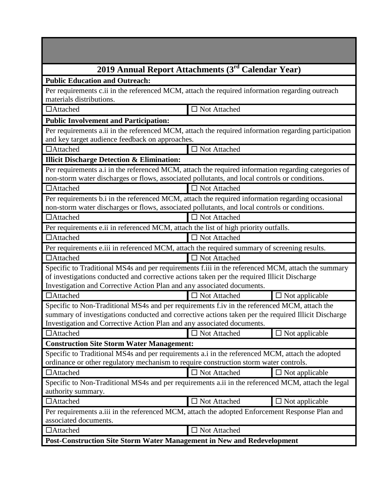| 2019 Annual Report Attachments (3rd Calendar Year)                                                                                                                                                                                                                            |                        |                          |  |  |
|-------------------------------------------------------------------------------------------------------------------------------------------------------------------------------------------------------------------------------------------------------------------------------|------------------------|--------------------------|--|--|
| <b>Public Education and Outreach:</b>                                                                                                                                                                                                                                         |                        |                          |  |  |
| Per requirements c.ii in the referenced MCM, attach the required information regarding outreach                                                                                                                                                                               |                        |                          |  |  |
| materials distributions.                                                                                                                                                                                                                                                      |                        |                          |  |  |
| □Attached                                                                                                                                                                                                                                                                     | $\Box$ Not Attached    |                          |  |  |
| <b>Public Involvement and Participation:</b>                                                                                                                                                                                                                                  |                        |                          |  |  |
| Per requirements a.ii in the referenced MCM, attach the required information regarding participation<br>and key target audience feedback on approaches.                                                                                                                       |                        |                          |  |  |
| $\Box$ Attached                                                                                                                                                                                                                                                               | $\Box$ Not Attached    |                          |  |  |
| <b>Illicit Discharge Detection &amp; Elimination:</b>                                                                                                                                                                                                                         |                        |                          |  |  |
| Per requirements a.i in the referenced MCM, attach the required information regarding categories of<br>non-storm water discharges or flows, associated pollutants, and local controls or conditions.                                                                          |                        |                          |  |  |
| $\Box$ Attached                                                                                                                                                                                                                                                               | $\Box$ Not Attached    |                          |  |  |
| Per requirements b.i in the referenced MCM, attach the required information regarding occasional<br>non-storm water discharges or flows, associated pollutants, and local controls or conditions.                                                                             |                        |                          |  |  |
| $\Box$ Attached                                                                                                                                                                                                                                                               | $\Box$ Not Attached    |                          |  |  |
| Per requirements e.ii in referenced MCM, attach the list of high priority outfalls.                                                                                                                                                                                           |                        |                          |  |  |
| $\Box$ Attached                                                                                                                                                                                                                                                               | $\Box$ Not Attached    |                          |  |  |
| Per requirements e.iii in referenced MCM, attach the required summary of screening results.                                                                                                                                                                                   |                        |                          |  |  |
| □Attached                                                                                                                                                                                                                                                                     | $\square$ Not Attached |                          |  |  |
| Specific to Traditional MS4s and per requirements f.iii in the referenced MCM, attach the summary<br>of investigations conducted and corrective actions taken per the required Illicit Discharge                                                                              |                        |                          |  |  |
| Investigation and Corrective Action Plan and any associated documents.                                                                                                                                                                                                        |                        |                          |  |  |
| $\Box$ Attached                                                                                                                                                                                                                                                               | $\Box$ Not Attached    | $\Box$ Not applicable    |  |  |
| Specific to Non-Traditional MS4s and per requirements f.iv in the referenced MCM, attach the<br>summary of investigations conducted and corrective actions taken per the required Illicit Discharge<br>Investigation and Corrective Action Plan and any associated documents. |                        |                          |  |  |
| $\Box$ Attached                                                                                                                                                                                                                                                               | □ Not Attached         | $\Box$ Not applicable    |  |  |
| <b>Construction Site Storm Water Management:</b>                                                                                                                                                                                                                              |                        |                          |  |  |
| Specific to Traditional MS4s and per requirements a.i in the referenced MCM, attach the adopted<br>ordinance or other regulatory mechanism to require construction storm water controls.                                                                                      |                        |                          |  |  |
| $\Box$ Attached                                                                                                                                                                                                                                                               | $\Box$ Not Attached    | $\Box$ Not applicable    |  |  |
| Specific to Non-Traditional MS4s and per requirements a.ii in the referenced MCM, attach the legal<br>authority summary.                                                                                                                                                      |                        |                          |  |  |
| $\Box$ Attached                                                                                                                                                                                                                                                               | $\Box$ Not Attached    | $\square$ Not applicable |  |  |
| Per requirements a.iii in the referenced MCM, attach the adopted Enforcement Response Plan and<br>associated documents.                                                                                                                                                       |                        |                          |  |  |
| □Attached                                                                                                                                                                                                                                                                     | $\Box$ Not Attached    |                          |  |  |
| Post-Construction Site Storm Water Management in New and Redevelopment                                                                                                                                                                                                        |                        |                          |  |  |

**Contract Contract Contract**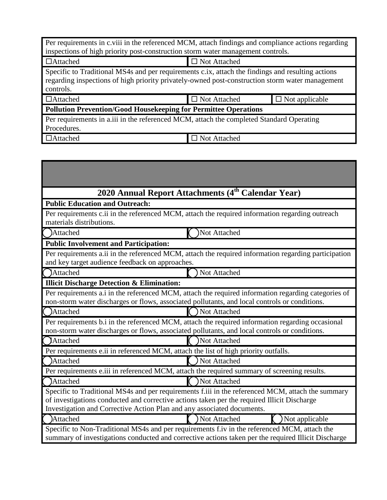| Per requirements in c.viii in the referenced MCM, attach findings and compliance actions regarding                                                                                                                |                     |                       |  |  |
|-------------------------------------------------------------------------------------------------------------------------------------------------------------------------------------------------------------------|---------------------|-----------------------|--|--|
| inspections of high priority post-construction storm water management controls.                                                                                                                                   |                     |                       |  |  |
| $\Box$ Attached                                                                                                                                                                                                   | $\Box$ Not Attached |                       |  |  |
| Specific to Traditional MS4s and per requirements c.ix, attach the findings and resulting actions<br>regarding inspections of high priority privately-owned post-construction storm water management<br>controls. |                     |                       |  |  |
| $\Box$ Attached                                                                                                                                                                                                   | $\Box$ Not Attached | $\Box$ Not applicable |  |  |
| <b>Pollution Prevention/Good Housekeeping for Permittee Operations</b>                                                                                                                                            |                     |                       |  |  |
| Per requirements in a.iii in the referenced MCM, attach the completed Standard Operating<br>Procedures.                                                                                                           |                     |                       |  |  |
| $\Box$ Attached                                                                                                                                                                                                   | □ Not Attached      |                       |  |  |

|                                                       | 2020 Annual Report Attachments (4 <sup>th</sup> Calendar Year)                                                                                                                                                                                                             |
|-------------------------------------------------------|----------------------------------------------------------------------------------------------------------------------------------------------------------------------------------------------------------------------------------------------------------------------------|
| <b>Public Education and Outreach:</b>                 |                                                                                                                                                                                                                                                                            |
| materials distributions.                              | Per requirements c.ii in the referenced MCM, attach the required information regarding outreach                                                                                                                                                                            |
| <b>Attached</b>                                       | Not Attached                                                                                                                                                                                                                                                               |
| <b>Public Involvement and Participation:</b>          |                                                                                                                                                                                                                                                                            |
| and key target audience feedback on approaches.       | Per requirements a.ii in the referenced MCM, attach the required information regarding participation                                                                                                                                                                       |
| Attached                                              | Not Attached                                                                                                                                                                                                                                                               |
| <b>Illicit Discharge Detection &amp; Elimination:</b> |                                                                                                                                                                                                                                                                            |
|                                                       | Per requirements a.i in the referenced MCM, attach the required information regarding categories of<br>non-storm water discharges or flows, associated pollutants, and local controls or conditions.                                                                       |
| Attached                                              | Not Attached                                                                                                                                                                                                                                                               |
|                                                       | Per requirements b.i in the referenced MCM, attach the required information regarding occasional<br>non-storm water discharges or flows, associated pollutants, and local controls or conditions.                                                                          |
| Attached                                              | Not Attached                                                                                                                                                                                                                                                               |
|                                                       | Per requirements e.ii in referenced MCM, attach the list of high priority outfalls.                                                                                                                                                                                        |
| Attached                                              | Not Attached                                                                                                                                                                                                                                                               |
|                                                       | Per requirements e.iii in referenced MCM, attach the required summary of screening results.                                                                                                                                                                                |
| Attached                                              | Not Attached                                                                                                                                                                                                                                                               |
|                                                       | Specific to Traditional MS4s and per requirements f.iii in the referenced MCM, attach the summary<br>of investigations conducted and corrective actions taken per the required Illicit Discharge<br>Investigation and Corrective Action Plan and any associated documents. |
| <b>Attached</b>                                       | Not Attached<br>Not applicable                                                                                                                                                                                                                                             |
|                                                       | Specific to Non-Traditional MS4s and per requirements f.iv in the referenced MCM, attach the<br>summary of investigations conducted and corrective actions taken per the required Illicit Discharge                                                                        |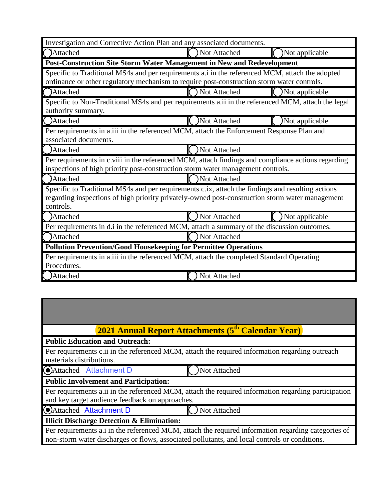| Investigation and Corrective Action Plan and any associated documents.                                                                                                                                            |                                                                                                                                                                                       |                |  |  |
|-------------------------------------------------------------------------------------------------------------------------------------------------------------------------------------------------------------------|---------------------------------------------------------------------------------------------------------------------------------------------------------------------------------------|----------------|--|--|
| ()Attached                                                                                                                                                                                                        | Not Attached                                                                                                                                                                          | Not applicable |  |  |
| Post-Construction Site Storm Water Management in New and Redevelopment                                                                                                                                            |                                                                                                                                                                                       |                |  |  |
| Specific to Traditional MS4s and per requirements a.i in the referenced MCM, attach the adopted<br>ordinance or other regulatory mechanism to require post-construction storm water controls.                     |                                                                                                                                                                                       |                |  |  |
| <b>Attached</b>                                                                                                                                                                                                   | Not Attached                                                                                                                                                                          | Not applicable |  |  |
| Specific to Non-Traditional MS4s and per requirements a.ii in the referenced MCM, attach the legal<br>authority summary.                                                                                          |                                                                                                                                                                                       |                |  |  |
| ()Attached                                                                                                                                                                                                        | Not Attached                                                                                                                                                                          | Not applicable |  |  |
| Per requirements in a.iii in the referenced MCM, attach the Enforcement Response Plan and<br>associated documents.                                                                                                |                                                                                                                                                                                       |                |  |  |
| Attached                                                                                                                                                                                                          | Not Attached                                                                                                                                                                          |                |  |  |
|                                                                                                                                                                                                                   | Per requirements in c.viii in the referenced MCM, attach findings and compliance actions regarding<br>inspections of high priority post-construction storm water management controls. |                |  |  |
| <b>Attached</b>                                                                                                                                                                                                   | Not Attached                                                                                                                                                                          |                |  |  |
| Specific to Traditional MS4s and per requirements c.ix, attach the findings and resulting actions<br>regarding inspections of high priority privately-owned post-construction storm water management<br>controls. |                                                                                                                                                                                       |                |  |  |
| Attached                                                                                                                                                                                                          | Not Attached                                                                                                                                                                          | Not applicable |  |  |
| Per requirements in d.i in the referenced MCM, attach a summary of the discussion outcomes.                                                                                                                       |                                                                                                                                                                                       |                |  |  |
| <b>Attached</b>                                                                                                                                                                                                   | Not Attached                                                                                                                                                                          |                |  |  |
| <b>Pollution Prevention/Good Housekeeping for Permittee Operations</b>                                                                                                                                            |                                                                                                                                                                                       |                |  |  |
| Per requirements in a.iii in the referenced MCM, attach the completed Standard Operating<br>Procedures.                                                                                                           |                                                                                                                                                                                       |                |  |  |
| Attached                                                                                                                                                                                                          | Not Attached                                                                                                                                                                          |                |  |  |

| <b>2021 Annual Report Attachments (5<sup>th</sup> Calendar Year)</b>                                                                                                                                 |
|------------------------------------------------------------------------------------------------------------------------------------------------------------------------------------------------------|
| <b>Public Education and Outreach:</b>                                                                                                                                                                |
| Per requirements c.ii in the referenced MCM, attach the required information regarding outreach<br>materials distributions.                                                                          |
| Attached Attachment D<br>Not Attached                                                                                                                                                                |
| <b>Public Involvement and Participation:</b>                                                                                                                                                         |
| Per requirements a.ii in the referenced MCM, attach the required information regarding participation<br>and key target audience feedback on approaches.                                              |
| <b>C</b> Attached Attachment D<br>Not Attached                                                                                                                                                       |
| <b>Illicit Discharge Detection &amp; Elimination:</b>                                                                                                                                                |
| Per requirements a.i in the referenced MCM, attach the required information regarding categories of<br>non-storm water discharges or flows, associated pollutants, and local controls or conditions. |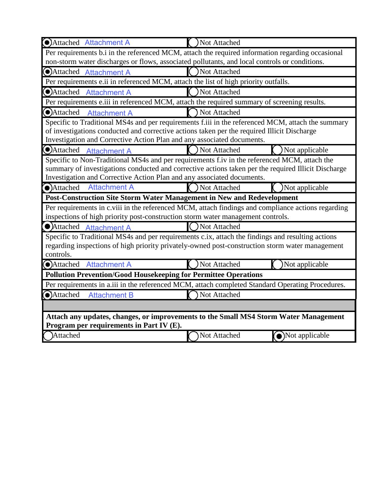| <b>O</b> Attached Attachment A                                                                | ) Not Attached                                                                                                                                                                                       |  |
|-----------------------------------------------------------------------------------------------|------------------------------------------------------------------------------------------------------------------------------------------------------------------------------------------------------|--|
|                                                                                               | Per requirements b.i in the referenced MCM, attach the required information regarding occasional                                                                                                     |  |
| non-storm water discharges or flows, associated pollutants, and local controls or conditions. |                                                                                                                                                                                                      |  |
| Attached Attachment A                                                                         | Not Attached                                                                                                                                                                                         |  |
| Per requirements e.ii in referenced MCM, attach the list of high priority outfalls.           |                                                                                                                                                                                                      |  |
| Attached Attachment A                                                                         | Not Attached                                                                                                                                                                                         |  |
| Per requirements e.iii in referenced MCM, attach the required summary of screening results.   |                                                                                                                                                                                                      |  |
| Attached<br><b>Attachment A</b>                                                               | Not Attached                                                                                                                                                                                         |  |
|                                                                                               | Specific to Traditional MS4s and per requirements f.iii in the referenced MCM, attach the summary                                                                                                    |  |
| of investigations conducted and corrective actions taken per the required Illicit Discharge   |                                                                                                                                                                                                      |  |
| Investigation and Corrective Action Plan and any associated documents.                        |                                                                                                                                                                                                      |  |
| (O)Attached<br><b>Attachment A</b>                                                            | Not Attached<br>Not applicable                                                                                                                                                                       |  |
|                                                                                               | Specific to Non-Traditional MS4s and per requirements f.iv in the referenced MCM, attach the                                                                                                         |  |
|                                                                                               | summary of investigations conducted and corrective actions taken per the required Illicit Discharge                                                                                                  |  |
| Investigation and Corrective Action Plan and any associated documents.                        |                                                                                                                                                                                                      |  |
| <b>Attachment A</b><br>Attached                                                               | Not applicable<br>Not Attached                                                                                                                                                                       |  |
| Post-Construction Site Storm Water Management in New and Redevelopment                        |                                                                                                                                                                                                      |  |
|                                                                                               | Per requirements in c.viii in the referenced MCM, attach findings and compliance actions regarding                                                                                                   |  |
| inspections of high priority post-construction storm water management controls.               |                                                                                                                                                                                                      |  |
| • Attached<br><b>Attachment A</b>                                                             | ) Not Attached                                                                                                                                                                                       |  |
|                                                                                               | Specific to Traditional MS4s and per requirements c.ix, attach the findings and resulting actions<br>regarding inspections of high priority privately-owned post-construction storm water management |  |
| controls.                                                                                     |                                                                                                                                                                                                      |  |
| Attached Attachment A                                                                         | ) Not Attached<br>)Not applicable                                                                                                                                                                    |  |
| <b>Pollution Prevention/Good Housekeeping for Permittee Operations</b>                        |                                                                                                                                                                                                      |  |
|                                                                                               | Per requirements in a.iii in the referenced MCM, attach completed Standard Operating Procedures.                                                                                                     |  |
| Attached<br><b>Attachment B</b>                                                               | Not Attached                                                                                                                                                                                         |  |
|                                                                                               |                                                                                                                                                                                                      |  |
| Attach any updates, changes, or improvements to the Small MS4 Storm Water Management          |                                                                                                                                                                                                      |  |
| Program per requirements in Part IV (E).                                                      |                                                                                                                                                                                                      |  |
| Attached                                                                                      | $\odot$ Not applicable<br>Not Attached                                                                                                                                                               |  |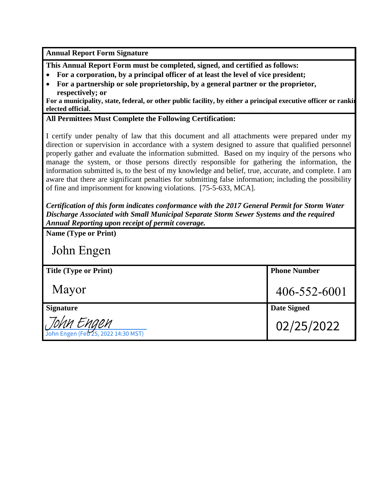**Annual Report Form Signature**

**This Annual Report Form must be completed, signed, and certified as follows:**

- **For a corporation, by a principal officer of at least the level of vice president;**
- **For a partnership or sole proprietorship, by a general partner or the proprietor, respectively; or**

**For a municipality, state, federal, or other public facility, by either a principal executive officer or rankin elected official.**

## **All Permittees Must Complete the Following Certification:**

I certify under penalty of law that this document and all attachments were prepared under my direction or supervision in accordance with a system designed to assure that qualified personnel properly gather and evaluate the information submitted. Based on my inquiry of the persons who manage the system, or those persons directly responsible for gathering the information, the information submitted is, to the best of my knowledge and belief, true, accurate, and complete. I am aware that there are significant penalties for submitting false information; including the possibility of fine and imprisonment for knowing violations. [75-5-633, MCA].

*Certification of this form indicates conformance with the 2017 General Permit for Storm Water Discharge Associated with Small Municipal Separate Storm Sewer Systems and the required Annual Reporting upon receipt of permit coverage.*

| <b>Name (Type or Print)</b>                       |                     |
|---------------------------------------------------|---------------------|
| John Engen                                        |                     |
| <b>Title (Type or Print)</b>                      | <b>Phone Number</b> |
| Mayor                                             | 406-552-6001        |
| <b>Signature</b>                                  | <b>Date Signed</b>  |
| JOMM EMGEM<br>John Engen (Feb 25, 2022 14:30 MST) | 02/25/2022          |